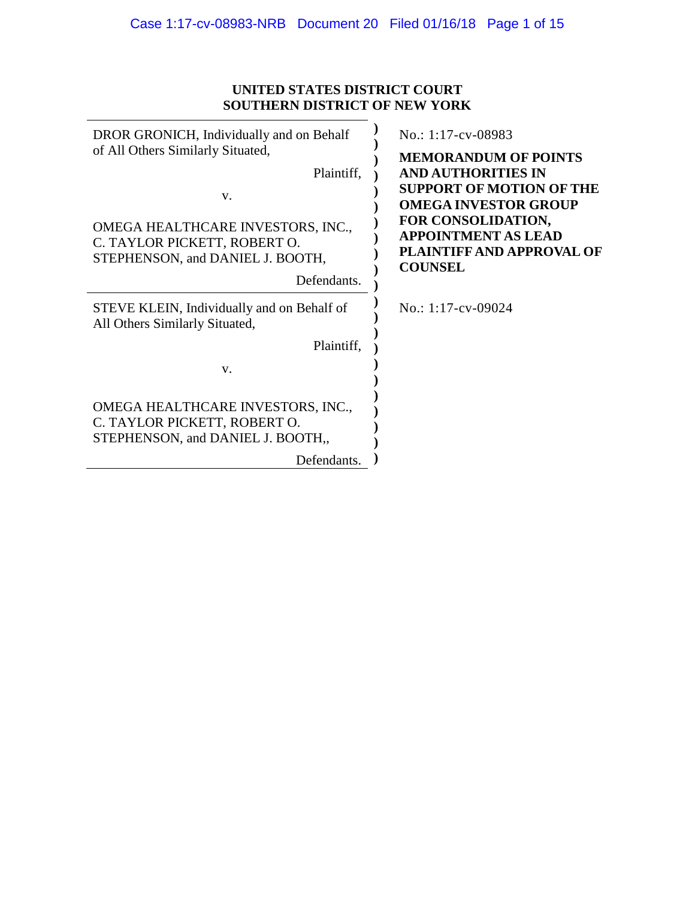# **UNITED STATES DISTRICT COURT SOUTHERN DISTRICT OF NEW YORK**

| DROR GRONICH, Individually and on Behalf<br>of All Others Similarly Situated,                                             | No.: 1:17-cv-08983<br><b>MEMORANDUM OF POINTS</b>                                                                                                                            |
|---------------------------------------------------------------------------------------------------------------------------|------------------------------------------------------------------------------------------------------------------------------------------------------------------------------|
| Plaintiff,<br>V.<br>OMEGA HEALTHCARE INVESTORS, INC.,<br>C. TAYLOR PICKETT, ROBERT O.<br>STEPHENSON, and DANIEL J. BOOTH, | <b>AND AUTHORITIES IN</b><br><b>SUPPORT OF MOTION OF THE</b><br><b>OMEGA INVESTOR GROUP</b><br>FOR CONSOLIDATION,<br><b>APPOINTMENT AS LEAD</b><br>PLAINTIFF AND APPROVAL OF |
| Defendants.                                                                                                               | <b>COUNSEL</b>                                                                                                                                                               |
| STEVE KLEIN, Individually and on Behalf of<br>All Others Similarly Situated,                                              | No.: $1:17$ -cv-09024                                                                                                                                                        |
| Plaintiff,                                                                                                                |                                                                                                                                                                              |
| V.                                                                                                                        |                                                                                                                                                                              |
| OMEGA HEALTHCARE INVESTORS, INC.,<br>C. TAYLOR PICKETT, ROBERT O.<br>STEPHENSON, and DANIEL J. BOOTH,                     |                                                                                                                                                                              |
| Defendants.                                                                                                               |                                                                                                                                                                              |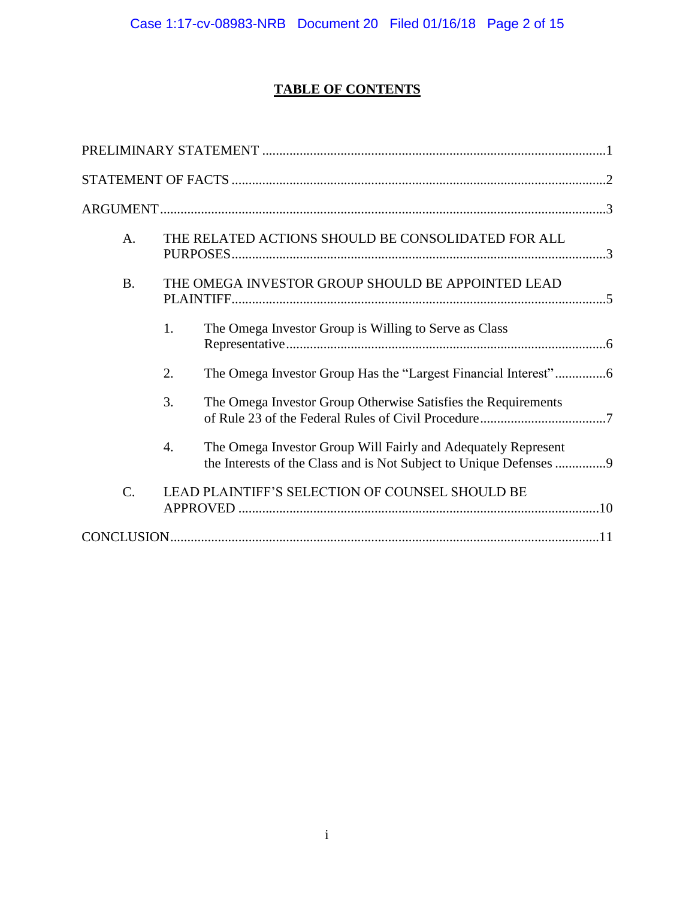# **TABLE OF CONTENTS**

| A.        | THE RELATED ACTIONS SHOULD BE CONSOLIDATED FOR ALL                                                                                        |  |
|-----------|-------------------------------------------------------------------------------------------------------------------------------------------|--|
| <b>B.</b> | THE OMEGA INVESTOR GROUP SHOULD BE APPOINTED LEAD                                                                                         |  |
|           | The Omega Investor Group is Willing to Serve as Class<br>1.                                                                               |  |
|           | 2.                                                                                                                                        |  |
|           | 3.<br>The Omega Investor Group Otherwise Satisfies the Requirements                                                                       |  |
|           | 4.<br>The Omega Investor Group Will Fairly and Adequately Represent<br>the Interests of the Class and is Not Subject to Unique Defenses 9 |  |
| $C$ .     | LEAD PLAINTIFF'S SELECTION OF COUNSEL SHOULD BE                                                                                           |  |
|           |                                                                                                                                           |  |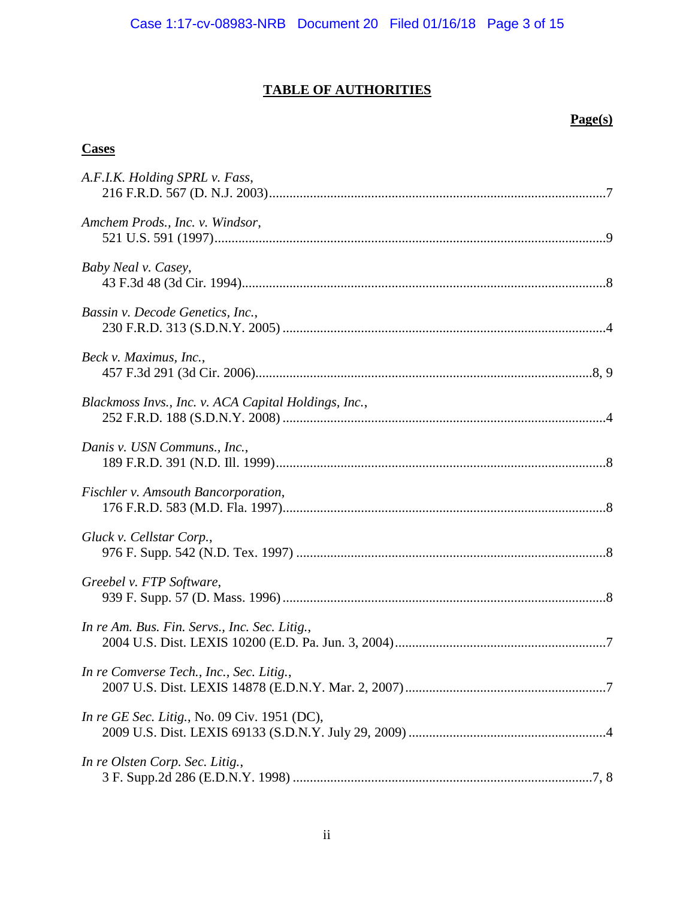# **TABLE OF AUTHORITIES**

# **Page(s)**

## **Cases**

| A.F.I.K. Holding SPRL v. Fass,                       |
|------------------------------------------------------|
| Amchem Prods., Inc. v. Windsor,                      |
| Baby Neal v. Casey,                                  |
| Bassin v. Decode Genetics, Inc.,                     |
| Beck v. Maximus, Inc.,                               |
| Blackmoss Invs., Inc. v. ACA Capital Holdings, Inc., |
| Danis v. USN Communs., Inc.,                         |
| Fischler v. Amsouth Bancorporation,                  |
| Gluck v. Cellstar Corp.,                             |
| Greebel v. FTP Software,                             |
| In re Am. Bus. Fin. Servs., Inc. Sec. Litig.,        |
| In re Comverse Tech., Inc., Sec. Litig.,             |
| <i>In re GE Sec. Litig.</i> , No. 09 Civ. 1951 (DC), |
| In re Olsten Corp. Sec. Litig.,                      |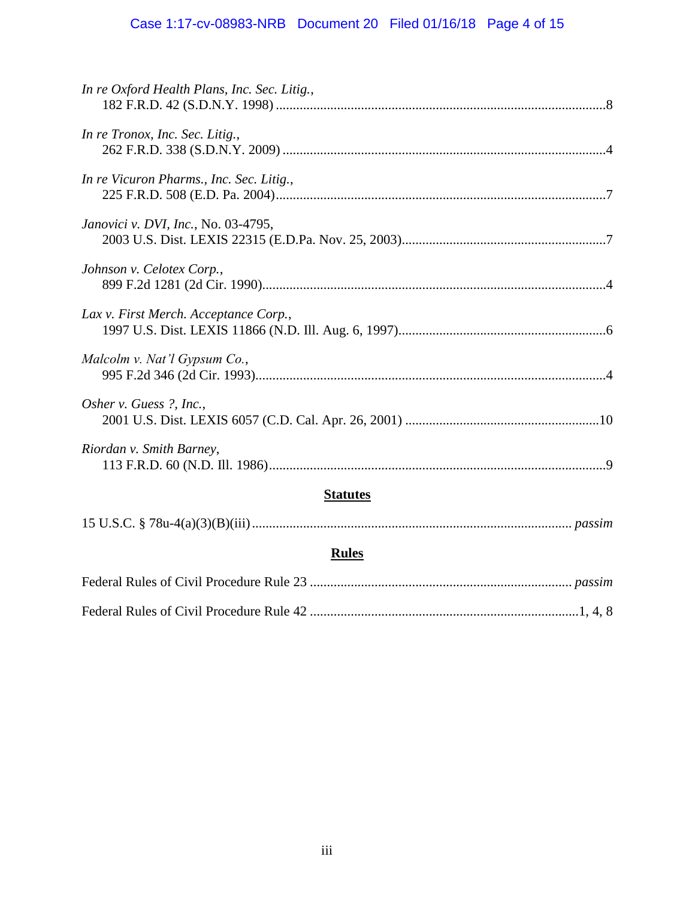# Case 1:17-cv-08983-NRB Document 20 Filed 01/16/18 Page 4 of 15

| In re Oxford Health Plans, Inc. Sec. Litig., |  |  |
|----------------------------------------------|--|--|
| In re Tronox, Inc. Sec. Litig.,              |  |  |
| In re Vicuron Pharms., Inc. Sec. Litig.,     |  |  |
| Janovici v. DVI, Inc., No. 03-4795,          |  |  |
| Johnson v. Celotex Corp.,                    |  |  |
| Lax v. First Merch. Acceptance Corp.,        |  |  |
| Malcolm v. Nat'l Gypsum Co.,                 |  |  |
| Osher v. Guess ?, Inc.,                      |  |  |
| Riordan v. Smith Barney,                     |  |  |
| <b>Statutes</b>                              |  |  |
|                                              |  |  |
| <b>Rules</b>                                 |  |  |
|                                              |  |  |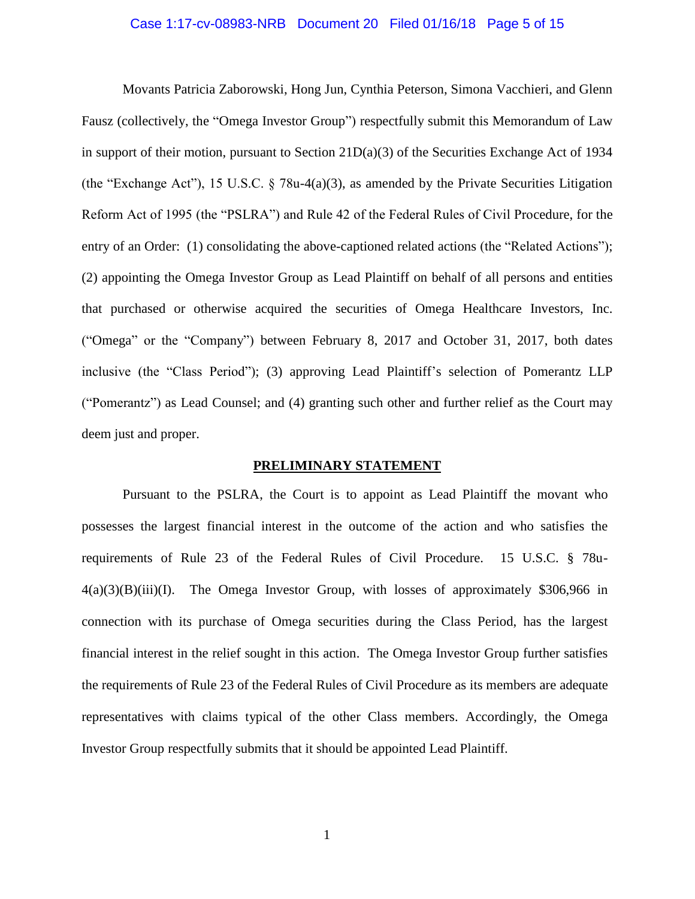### <span id="page-4-1"></span>Case 1:17-cv-08983-NRB Document 20 Filed 01/16/18 Page 5 of 15

Movants Patricia Zaborowski, Hong Jun, Cynthia Peterson, Simona Vacchieri, and Glenn Fausz (collectively, the "Omega Investor Group") respectfully submit this Memorandum of Law in support of their motion, pursuant to Section 21D(a)(3) of the Securities Exchange Act of 1934 (the "Exchange Act"), 15 U.S.C.  $\S$  78u-4(a)(3), as amended by the Private Securities Litigation Reform Act of 1995 (the "PSLRA") and Rule 42 of the Federal Rules of Civil Procedure, for the entry of an Order: (1) consolidating the above-captioned related actions (the "Related Actions"); (2) appointing the Omega Investor Group as Lead Plaintiff on behalf of all persons and entities that purchased or otherwise acquired the securities of Omega Healthcare Investors, Inc. ("Omega" or the "Company") between February 8, 2017 and October 31, 2017, both dates inclusive (the "Class Period"); (3) approving Lead Plaintiff's selection of Pomerantz LLP ("Pomerantz") as Lead Counsel; and (4) granting such other and further relief as the Court may deem just and proper.

### <span id="page-4-3"></span><span id="page-4-2"></span>**PRELIMINARY STATEMENT**

<span id="page-4-0"></span>Pursuant to the PSLRA, the Court is to appoint as Lead Plaintiff the movant who possesses the largest financial interest in the outcome of the action and who satisfies the requirements of Rule 23 of the Federal Rules of Civil Procedure. 15 U.S.C. § 78u- $4(a)(3)(B)(iii)(I)$ . The Omega Investor Group, with losses of approximately \$306,966 in connection with its purchase of Omega securities during the Class Period, has the largest financial interest in the relief sought in this action. The Omega Investor Group further satisfies the requirements of Rule 23 of the Federal Rules of Civil Procedure as its members are adequate representatives with claims typical of the other Class members. Accordingly, the Omega Investor Group respectfully submits that it should be appointed Lead Plaintiff.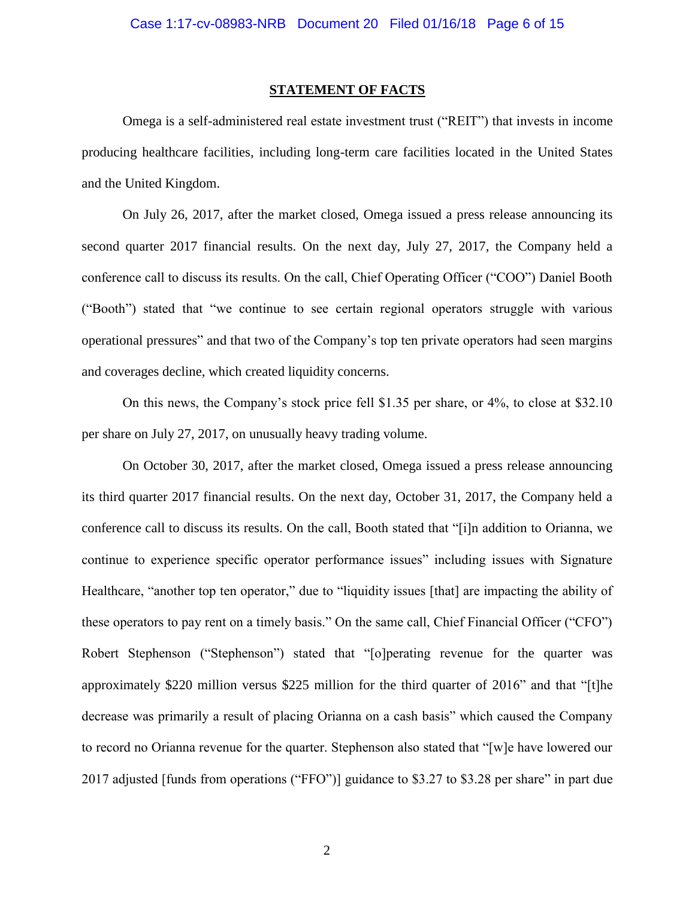### **STATEMENT OF FACTS**

<span id="page-5-0"></span>Omega is a self-administered real estate investment trust ("REIT") that invests in income producing healthcare facilities, including long-term care facilities located in the United States and the United Kingdom.

On July 26, 2017, after the market closed, Omega issued a press release announcing its second quarter 2017 financial results. On the next day, July 27, 2017, the Company held a conference call to discuss its results. On the call, Chief Operating Officer ("COO") Daniel Booth ("Booth") stated that "we continue to see certain regional operators struggle with various operational pressures" and that two of the Company's top ten private operators had seen margins and coverages decline, which created liquidity concerns.

On this news, the Company's stock price fell \$1.35 per share, or 4%, to close at \$32.10 per share on July 27, 2017, on unusually heavy trading volume.

On October 30, 2017, after the market closed, Omega issued a press release announcing its third quarter 2017 financial results. On the next day, October 31, 2017, the Company held a conference call to discuss its results. On the call, Booth stated that "[i]n addition to Orianna, we continue to experience specific operator performance issues" including issues with Signature Healthcare, "another top ten operator," due to "liquidity issues [that] are impacting the ability of these operators to pay rent on a timely basis." On the same call, Chief Financial Officer ("CFO") Robert Stephenson ("Stephenson") stated that "[o]perating revenue for the quarter was approximately \$220 million versus \$225 million for the third quarter of 2016" and that "[t]he decrease was primarily a result of placing Orianna on a cash basis" which caused the Company to record no Orianna revenue for the quarter. Stephenson also stated that "[w]e have lowered our 2017 adjusted [funds from operations ("FFO")] guidance to \$3.27 to \$3.28 per share" in part due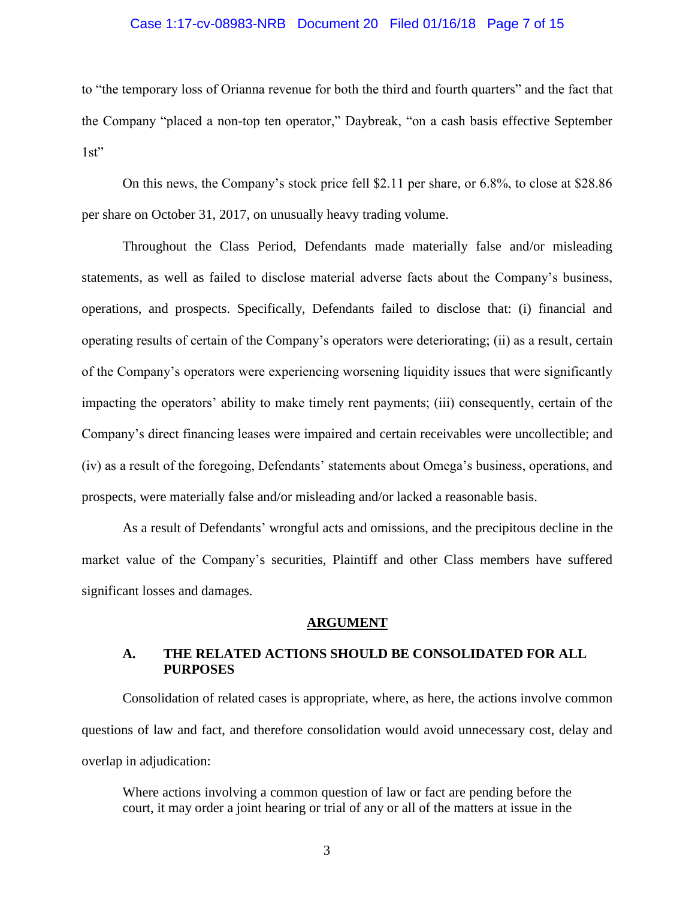### Case 1:17-cv-08983-NRB Document 20 Filed 01/16/18 Page 7 of 15

to "the temporary loss of Orianna revenue for both the third and fourth quarters" and the fact that the Company "placed a non-top ten operator," Daybreak, "on a cash basis effective September  $1st"$ 

On this news, the Company's stock price fell \$2.11 per share, or 6.8%, to close at \$28.86 per share on October 31, 2017, on unusually heavy trading volume.

Throughout the Class Period, Defendants made materially false and/or misleading statements, as well as failed to disclose material adverse facts about the Company's business, operations, and prospects. Specifically, Defendants failed to disclose that: (i) financial and operating results of certain of the Company's operators were deteriorating; (ii) as a result, certain of the Company's operators were experiencing worsening liquidity issues that were significantly impacting the operators' ability to make timely rent payments; (iii) consequently, certain of the Company's direct financing leases were impaired and certain receivables were uncollectible; and (iv) as a result of the foregoing, Defendants' statements about Omega's business, operations, and prospects, were materially false and/or misleading and/or lacked a reasonable basis.

As a result of Defendants' wrongful acts and omissions, and the precipitous decline in the market value of the Company's securities, Plaintiff and other Class members have suffered significant losses and damages.

#### **ARGUMENT**

### <span id="page-6-1"></span><span id="page-6-0"></span>**A. THE RELATED ACTIONS SHOULD BE CONSOLIDATED FOR ALL PURPOSES**

Consolidation of related cases is appropriate, where, as here, the actions involve common questions of law and fact, and therefore consolidation would avoid unnecessary cost, delay and overlap in adjudication:

Where actions involving a common question of law or fact are pending before the court, it may order a joint hearing or trial of any or all of the matters at issue in the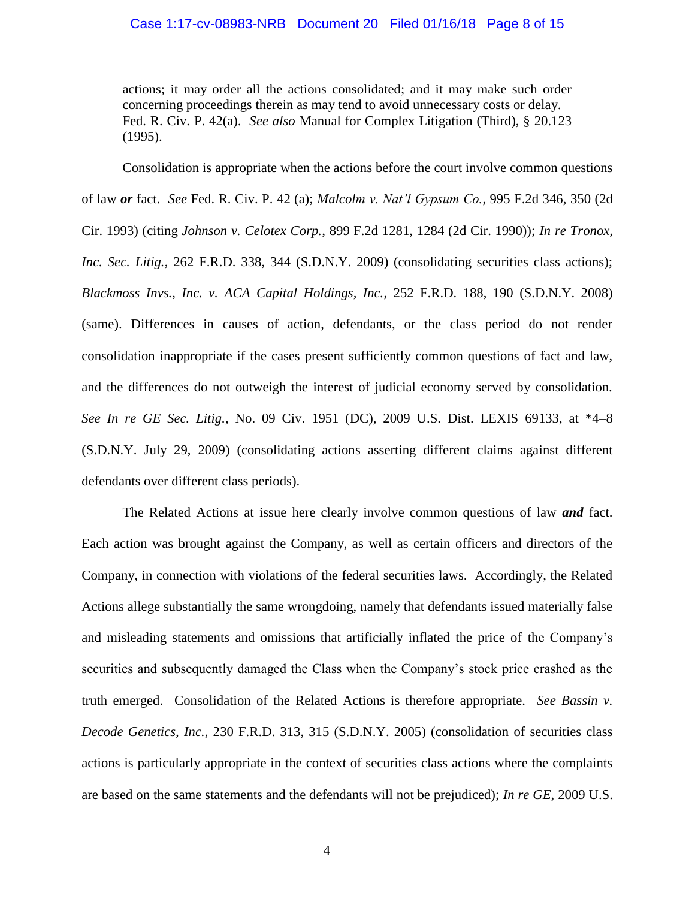### Case 1:17-cv-08983-NRB Document 20 Filed 01/16/18 Page 8 of 15

<span id="page-7-6"></span><span id="page-7-5"></span><span id="page-7-3"></span>actions; it may order all the actions consolidated; and it may make such order concerning proceedings therein as may tend to avoid unnecessary costs or delay. Fed. R. Civ. P. 42(a). *See also* Manual for Complex Litigation (Third), § 20.123 (1995).

<span id="page-7-4"></span><span id="page-7-1"></span>Consolidation is appropriate when the actions before the court involve common questions of law *or* fact. *See* Fed. R. Civ. P. 42 (a); *Malcolm v. Nat'l Gypsum Co.*, 995 F.2d 346, 350 (2d Cir. 1993) (citing *Johnson v. Celotex Corp.*, 899 F.2d 1281, 1284 (2d Cir. 1990)); *In re Tronox, Inc. Sec. Litig.*, 262 F.R.D. 338, 344 (S.D.N.Y. 2009) (consolidating securities class actions); *Blackmoss Invs., Inc. v. ACA Capital Holdings, Inc.*, 252 F.R.D. 188, 190 (S.D.N.Y. 2008) (same). Differences in causes of action, defendants, or the class period do not render consolidation inappropriate if the cases present sufficiently common questions of fact and law, and the differences do not outweigh the interest of judicial economy served by consolidation. *See In re GE Sec. Litig.*, No. 09 Civ. 1951 (DC), 2009 U.S. Dist. LEXIS 69133, at \*4–8 (S.D.N.Y. July 29, 2009) (consolidating actions asserting different claims against different defendants over different class periods).

<span id="page-7-2"></span><span id="page-7-0"></span>The Related Actions at issue here clearly involve common questions of law *and* fact. Each action was brought against the Company, as well as certain officers and directors of the Company, in connection with violations of the federal securities laws. Accordingly, the Related Actions allege substantially the same wrongdoing, namely that defendants issued materially false and misleading statements and omissions that artificially inflated the price of the Company's securities and subsequently damaged the Class when the Company's stock price crashed as the truth emerged. Consolidation of the Related Actions is therefore appropriate. *See Bassin v. Decode Genetics, Inc.*, 230 F.R.D. 313, 315 (S.D.N.Y. 2005) (consolidation of securities class actions is particularly appropriate in the context of securities class actions where the complaints are based on the same statements and the defendants will not be prejudiced); *In re GE*, 2009 U.S.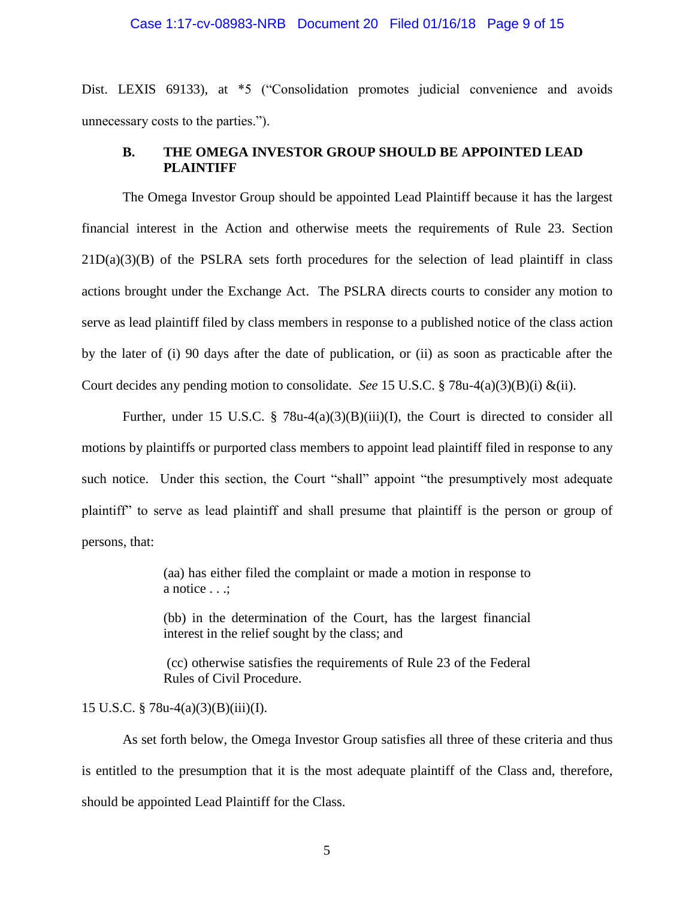### Case 1:17-cv-08983-NRB Document 20 Filed 01/16/18 Page 9 of 15

Dist. LEXIS 69133), at \*5 ("Consolidation promotes judicial convenience and avoids unnecessary costs to the parties.").

### <span id="page-8-0"></span>**B. THE OMEGA INVESTOR GROUP SHOULD BE APPOINTED LEAD PLAINTIFF**

The Omega Investor Group should be appointed Lead Plaintiff because it has the largest financial interest in the Action and otherwise meets the requirements of Rule 23. Section  $21D(a)(3)(B)$  of the PSLRA sets forth procedures for the selection of lead plaintiff in class actions brought under the Exchange Act. The PSLRA directs courts to consider any motion to serve as lead plaintiff filed by class members in response to a published notice of the class action by the later of (i) 90 days after the date of publication, or (ii) as soon as practicable after the Court decides any pending motion to consolidate. *See* 15 U.S.C. § 78u-4(a)(3)(B)(i) &(ii).

Further, under 15 U.S.C. § 78u-4(a)(3)(B)(iii)(I), the Court is directed to consider all motions by plaintiffs or purported class members to appoint lead plaintiff filed in response to any such notice. Under this section, the Court "shall" appoint "the presumptively most adequate plaintiff" to serve as lead plaintiff and shall presume that plaintiff is the person or group of persons, that:

> (aa) has either filed the complaint or made a motion in response to a notice . . .;

> (bb) in the determination of the Court, has the largest financial interest in the relief sought by the class; and

> (cc) otherwise satisfies the requirements of Rule 23 of the Federal Rules of Civil Procedure.

### 15 U.S.C. § 78u-4(a)(3)(B)(iii)(I).

As set forth below, the Omega Investor Group satisfies all three of these criteria and thus is entitled to the presumption that it is the most adequate plaintiff of the Class and, therefore, should be appointed Lead Plaintiff for the Class.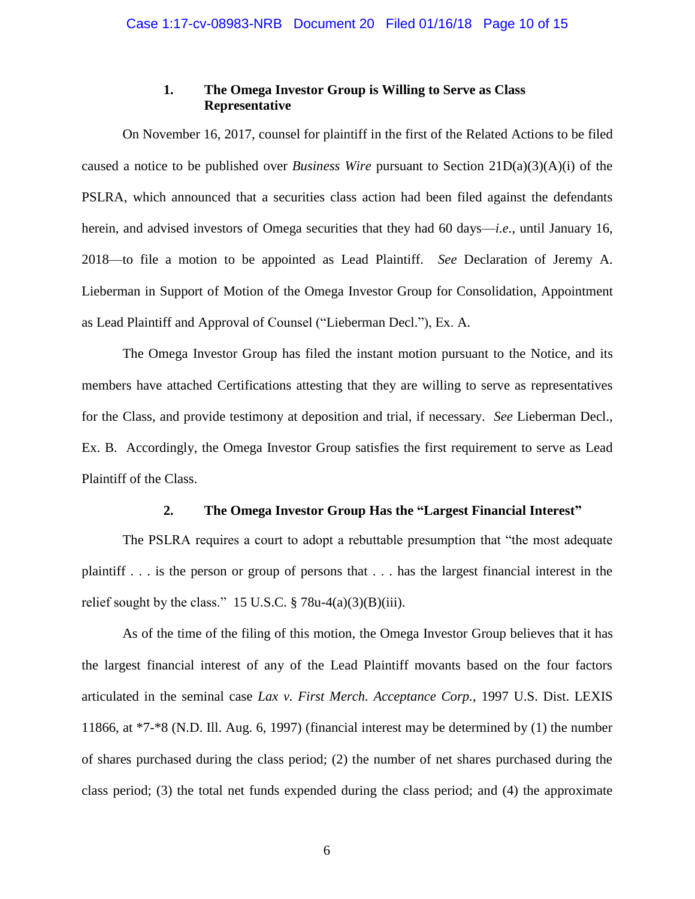### **1. The Omega Investor Group is Willing to Serve as Class Representative**

<span id="page-9-0"></span>On November 16, 2017, counsel for plaintiff in the first of the Related Actions to be filed caused a notice to be published over *Business Wire* pursuant to Section 21D(a)(3)(A)(i) of the PSLRA, which announced that a securities class action had been filed against the defendants herein, and advised investors of Omega securities that they had 60 days—*i.e.*, until January 16, 2018—to file a motion to be appointed as Lead Plaintiff. *See* Declaration of Jeremy A. Lieberman in Support of Motion of the Omega Investor Group for Consolidation, Appointment as Lead Plaintiff and Approval of Counsel ("Lieberman Decl."), Ex. A.

The Omega Investor Group has filed the instant motion pursuant to the Notice, and its members have attached Certifications attesting that they are willing to serve as representatives for the Class, and provide testimony at deposition and trial, if necessary. *See* Lieberman Decl., Ex. B. Accordingly, the Omega Investor Group satisfies the first requirement to serve as Lead Plaintiff of the Class.

### **2. The Omega Investor Group Has the "Largest Financial Interest"**

<span id="page-9-1"></span>The PSLRA requires a court to adopt a rebuttable presumption that "the most adequate plaintiff . . . is the person or group of persons that . . . has the largest financial interest in the relief sought by the class." 15 U.S.C.  $\S$  78u-4(a)(3)(B)(iii).

<span id="page-9-2"></span>As of the time of the filing of this motion, the Omega Investor Group believes that it has the largest financial interest of any of the Lead Plaintiff movants based on the four factors articulated in the seminal case *Lax v. First Merch. Acceptance Corp.*, 1997 U.S. Dist. LEXIS 11866, at \*7-\*8 (N.D. Ill. Aug. 6, 1997) (financial interest may be determined by (1) the number of shares purchased during the class period; (2) the number of net shares purchased during the class period; (3) the total net funds expended during the class period; and (4) the approximate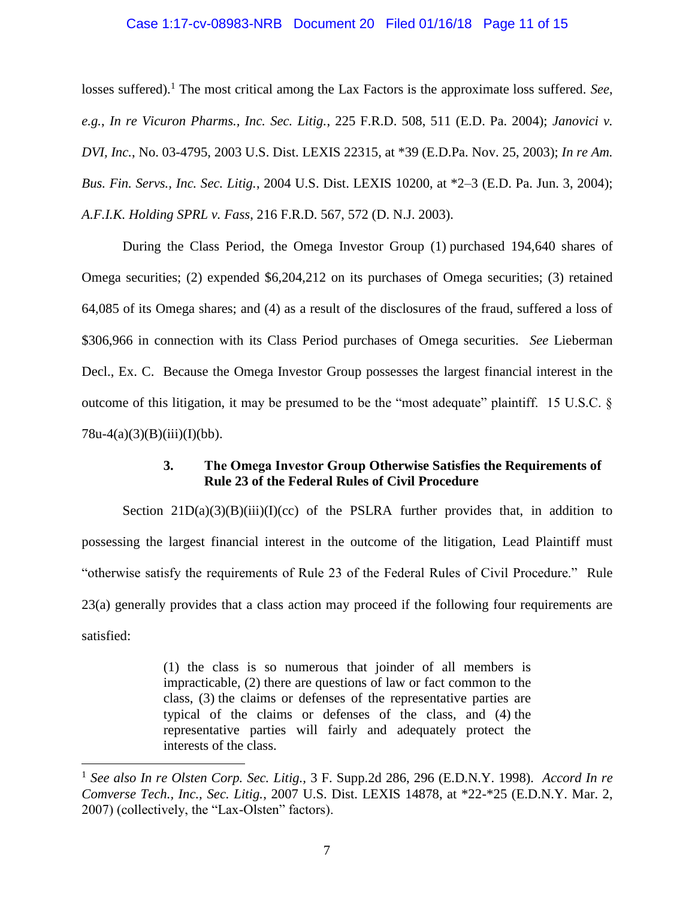#### <span id="page-10-6"></span><span id="page-10-2"></span>Case 1:17-cv-08983-NRB Document 20 Filed 01/16/18 Page 11 of 15

<span id="page-10-5"></span>losses suffered).<sup>1</sup> The most critical among the Lax Factors is the approximate loss suffered. *See*, *e.g.*, *In re Vicuron Pharms., Inc. Sec. Litig.*, 225 F.R.D. 508, 511 (E.D. Pa. 2004); *Janovici v. DVI, Inc.*, No. 03-4795, 2003 U.S. Dist. LEXIS 22315, at \*39 (E.D.Pa. Nov. 25, 2003); *In re Am. Bus. Fin. Servs., Inc. Sec. Litig.*, 2004 U.S. Dist. LEXIS 10200, at \*2–3 (E.D. Pa. Jun. 3, 2004); *A.F.I.K. Holding SPRL v. Fass*, 216 F.R.D. 567, 572 (D. N.J. 2003).

<span id="page-10-1"></span>During the Class Period, the Omega Investor Group (1) purchased 194,640 shares of Omega securities; (2) expended \$6,204,212 on its purchases of Omega securities; (3) retained 64,085 of its Omega shares; and (4) as a result of the disclosures of the fraud, suffered a loss of \$306,966 in connection with its Class Period purchases of Omega securities. *See* Lieberman Decl., Ex. C. Because the Omega Investor Group possesses the largest financial interest in the outcome of this litigation, it may be presumed to be the "most adequate" plaintiff. 15 U.S.C. §  $78u-4(a)(3)(B)(iii)(I)(bb)$ .

### **3. The Omega Investor Group Otherwise Satisfies the Requirements of Rule 23 of the Federal Rules of Civil Procedure**

<span id="page-10-0"></span>Section  $21D(a)(3)(B)(iii)(I)(cc)$  of the PSLRA further provides that, in addition to possessing the largest financial interest in the outcome of the litigation, Lead Plaintiff must "otherwise satisfy the requirements of Rule 23 of the Federal Rules of Civil Procedure." Rule 23(a) generally provides that a class action may proceed if the following four requirements are satisfied:

> <span id="page-10-3"></span>(1) the class is so numerous that joinder of all members is impracticable, (2) there are questions of law or fact common to the class, (3) the claims or defenses of the representative parties are typical of the claims or defenses of the class, and (4) the representative parties will fairly and adequately protect the interests of the class.

<span id="page-10-4"></span> $\overline{a}$ 

<sup>1</sup> *See also In re Olsten Corp. Sec. Litig.,* 3 F. Supp.2d 286, 296 (E.D.N.Y. 1998). *Accord In re Comverse Tech., Inc., Sec. Litig.*, 2007 U.S. Dist. LEXIS 14878, at \*22-\*25 (E.D.N.Y. Mar. 2, 2007) (collectively, the "Lax-Olsten" factors).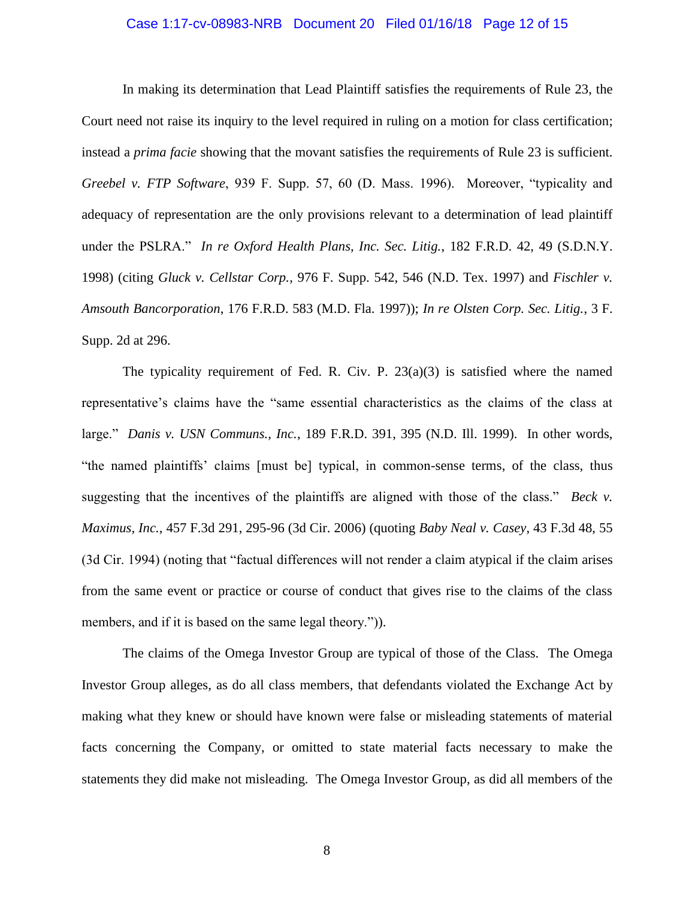### Case 1:17-cv-08983-NRB Document 20 Filed 01/16/18 Page 12 of 15

<span id="page-11-5"></span>In making its determination that Lead Plaintiff satisfies the requirements of Rule 23, the Court need not raise its inquiry to the level required in ruling on a motion for class certification; instead a *prima facie* showing that the movant satisfies the requirements of Rule 23 is sufficient. *Greebel v. FTP Software*, 939 F. Supp. 57, 60 (D. Mass. 1996). Moreover, "typicality and adequacy of representation are the only provisions relevant to a determination of lead plaintiff under the PSLRA." *In re Oxford Health Plans, Inc. Sec. Litig.*, 182 F.R.D. 42, 49 (S.D.N.Y. 1998) (citing *Gluck v. Cellstar Corp.*, 976 F. Supp. 542, 546 (N.D. Tex. 1997) and *Fischler v. Amsouth Bancorporation*, 176 F.R.D. 583 (M.D. Fla. 1997)); *In re Olsten Corp. Sec. Litig.*, 3 F. Supp. 2d at 296.

<span id="page-11-8"></span><span id="page-11-7"></span><span id="page-11-6"></span><span id="page-11-4"></span><span id="page-11-3"></span><span id="page-11-2"></span><span id="page-11-1"></span>The typicality requirement of Fed. R. Civ. P.  $23(a)(3)$  is satisfied where the named representative's claims have the "same essential characteristics as the claims of the class at large." *Danis v. USN Communs., Inc.*, 189 F.R.D. 391, 395 (N.D. Ill. 1999). In other words, "the named plaintiffs' claims [must be] typical, in common-sense terms, of the class, thus suggesting that the incentives of the plaintiffs are aligned with those of the class." *Beck v. Maximus, Inc.*, 457 F.3d 291, 295-96 (3d Cir. 2006) (quoting *Baby Neal v. Casey*, 43 F.3d 48, 55 (3d Cir. 1994) (noting that "factual differences will not render a claim atypical if the claim arises from the same event or practice or course of conduct that gives rise to the claims of the class members, and if it is based on the same legal theory.").

<span id="page-11-0"></span>The claims of the Omega Investor Group are typical of those of the Class. The Omega Investor Group alleges, as do all class members, that defendants violated the Exchange Act by making what they knew or should have known were false or misleading statements of material facts concerning the Company, or omitted to state material facts necessary to make the statements they did make not misleading. The Omega Investor Group, as did all members of the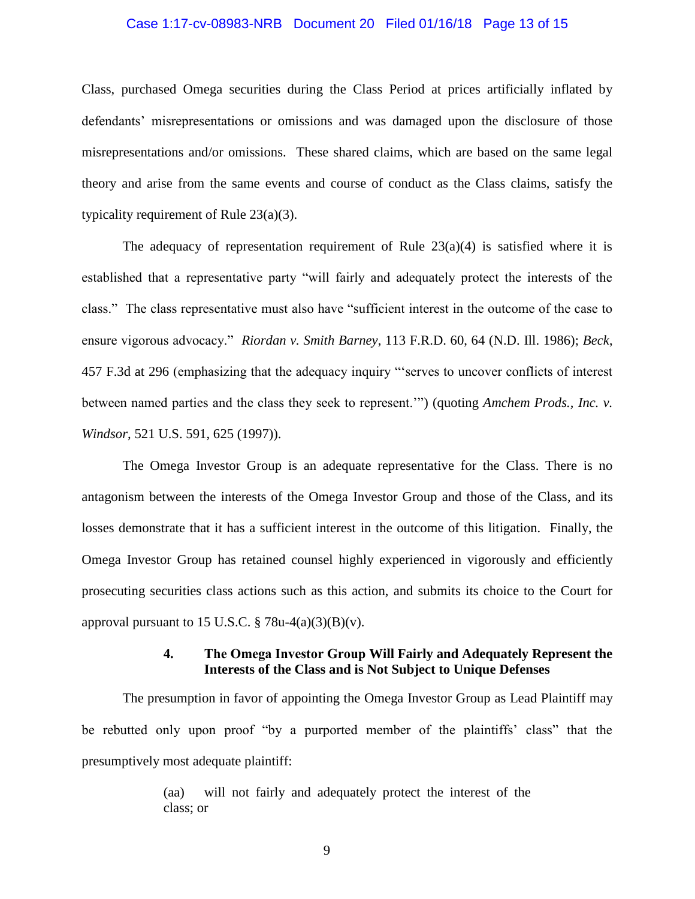#### Case 1:17-cv-08983-NRB Document 20 Filed 01/16/18 Page 13 of 15

Class, purchased Omega securities during the Class Period at prices artificially inflated by defendants' misrepresentations or omissions and was damaged upon the disclosure of those misrepresentations and/or omissions. These shared claims, which are based on the same legal theory and arise from the same events and course of conduct as the Class claims, satisfy the typicality requirement of Rule 23(a)(3).

<span id="page-12-3"></span><span id="page-12-2"></span>The adequacy of representation requirement of Rule  $23(a)(4)$  is satisfied where it is established that a representative party "will fairly and adequately protect the interests of the class." The class representative must also have "sufficient interest in the outcome of the case to ensure vigorous advocacy." *Riordan v. Smith Barney*, 113 F.R.D. 60, 64 (N.D. Ill. 1986); *Beck*, 457 F.3d at 296 (emphasizing that the adequacy inquiry "'serves to uncover conflicts of interest between named parties and the class they seek to represent.'") (quoting *Amchem Prods., Inc. v. Windsor*, 521 U.S. 591, 625 (1997)).

<span id="page-12-1"></span>The Omega Investor Group is an adequate representative for the Class. There is no antagonism between the interests of the Omega Investor Group and those of the Class, and its losses demonstrate that it has a sufficient interest in the outcome of this litigation. Finally, the Omega Investor Group has retained counsel highly experienced in vigorously and efficiently prosecuting securities class actions such as this action, and submits its choice to the Court for approval pursuant to 15 U.S.C.  $\S$  78u-4(a)(3)(B)(v).

### **4. The Omega Investor Group Will Fairly and Adequately Represent the Interests of the Class and is Not Subject to Unique Defenses**

<span id="page-12-0"></span>The presumption in favor of appointing the Omega Investor Group as Lead Plaintiff may be rebutted only upon proof "by a purported member of the plaintiffs' class" that the presumptively most adequate plaintiff:

> (aa) will not fairly and adequately protect the interest of the class; or

> > 9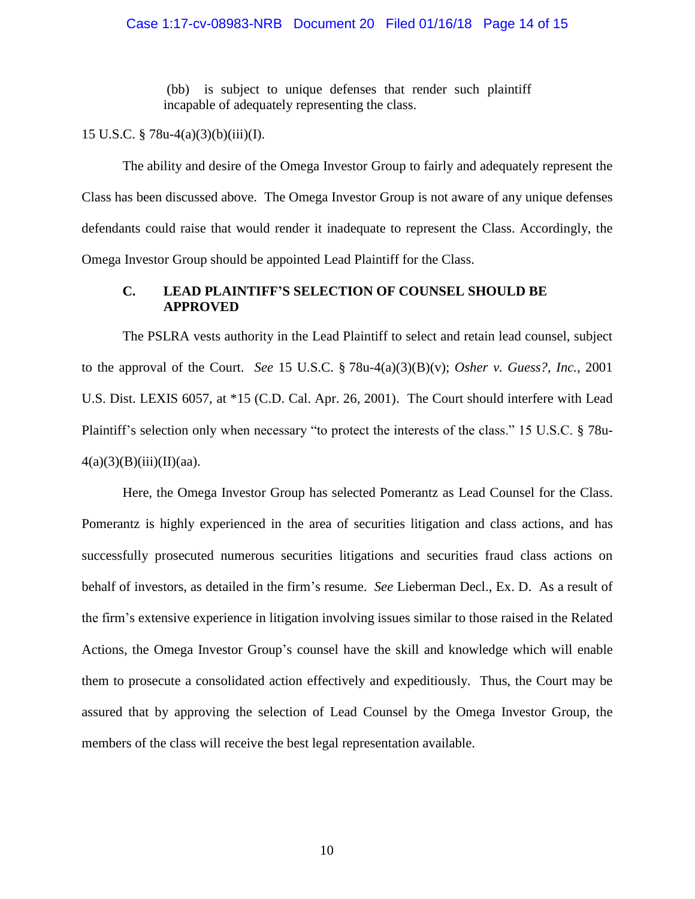(bb) is subject to unique defenses that render such plaintiff incapable of adequately representing the class.

15 U.S.C. § 78u-4(a)(3)(b)(iii)(I).

The ability and desire of the Omega Investor Group to fairly and adequately represent the Class has been discussed above. The Omega Investor Group is not aware of any unique defenses defendants could raise that would render it inadequate to represent the Class. Accordingly, the Omega Investor Group should be appointed Lead Plaintiff for the Class.

### <span id="page-13-1"></span><span id="page-13-0"></span>**C. LEAD PLAINTIFF'S SELECTION OF COUNSEL SHOULD BE APPROVED**

The PSLRA vests authority in the Lead Plaintiff to select and retain lead counsel, subject to the approval of the Court. *See* 15 U.S.C. § 78u-4(a)(3)(B)(v); *Osher v. Guess?, Inc.*, 2001 U.S. Dist. LEXIS 6057, at \*15 (C.D. Cal. Apr. 26, 2001). The Court should interfere with Lead Plaintiff's selection only when necessary "to protect the interests of the class." 15 U.S.C. § 78u- $4(a)(3)(B)(iii)(II)(aa).$ 

Here, the Omega Investor Group has selected Pomerantz as Lead Counsel for the Class. Pomerantz is highly experienced in the area of securities litigation and class actions, and has successfully prosecuted numerous securities litigations and securities fraud class actions on behalf of investors, as detailed in the firm's resume. *See* Lieberman Decl., Ex. D. As a result of the firm's extensive experience in litigation involving issues similar to those raised in the Related Actions, the Omega Investor Group's counsel have the skill and knowledge which will enable them to prosecute a consolidated action effectively and expeditiously. Thus, the Court may be assured that by approving the selection of Lead Counsel by the Omega Investor Group, the members of the class will receive the best legal representation available.